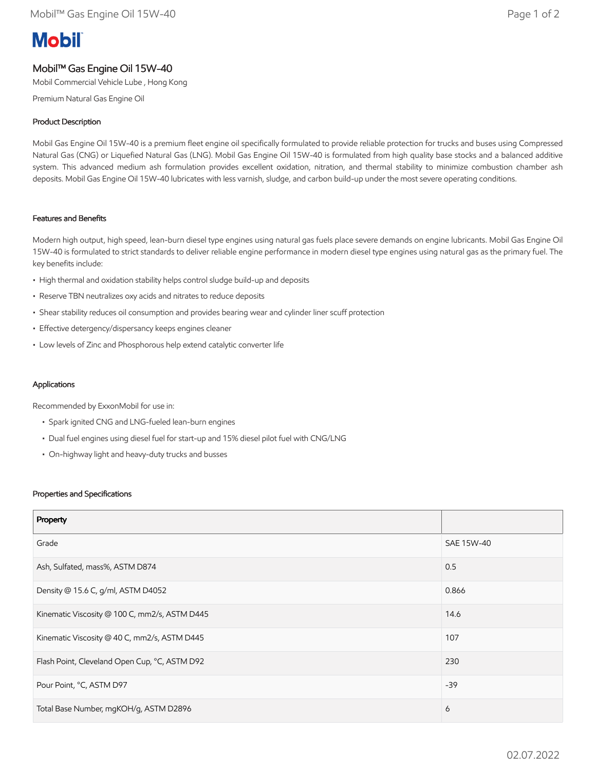# **Mobil**

# Mobil™ Gas Engine Oil 15W-40

Mobil Commercial Vehicle Lube , Hong Kong

Premium Natural Gas Engine Oil

## Product Description

Mobil Gas Engine Oil 15W-40 is a premium fleet engine oil specifically formulated to provide reliable protection for trucks and buses using Compressed Natural Gas (CNG) or Liquefied Natural Gas (LNG). Mobil Gas Engine Oil 15W-40 is formulated from high quality base stocks and a balanced additive system. This advanced medium ash formulation provides excellent oxidation, nitration, and thermal stability to minimize combustion chamber ash deposits. Mobil Gas Engine Oil 15W-40 lubricates with less varnish, sludge, and carbon build-up under the most severe operating conditions.

## Features and Benefits

Modern high output, high speed, lean-burn diesel type engines using natural gas fuels place severe demands on engine lubricants. Mobil Gas Engine Oil 15W-40 is formulated to strict standards to deliver reliable engine performance in modern diesel type engines using natural gas as the primary fuel. The key benefits include:

- High thermal and oxidation stability helps control sludge build-up and deposits
- Reserve TBN neutralizes oxy acids and nitrates to reduce deposits
- Shear stability reduces oil consumption and provides bearing wear and cylinder liner scuff protection
- Effective detergency/dispersancy keeps engines cleaner
- Low levels of Zinc and Phosphorous help extend catalytic converter life

#### Applications

Recommended by ExxonMobil for use in:

- Spark ignited CNG and LNG-fueled lean-burn engines
- Dual fuel engines using diesel fuel for start-up and 15% diesel pilot fuel with CNG/LNG
- On-highway light and heavy-duty trucks and busses

#### Properties and Specifications

| Property                                      |            |
|-----------------------------------------------|------------|
| Grade                                         | SAE 15W-40 |
| Ash, Sulfated, mass%, ASTM D874               | 0.5        |
| Density @ 15.6 C, g/ml, ASTM D4052            | 0.866      |
| Kinematic Viscosity @ 100 C, mm2/s, ASTM D445 | 14.6       |
| Kinematic Viscosity @ 40 C, mm2/s, ASTM D445  | 107        |
| Flash Point, Cleveland Open Cup, °C, ASTM D92 | 230        |
| Pour Point, °C, ASTM D97                      | $-39$      |
| Total Base Number, mgKOH/g, ASTM D2896        | 6          |